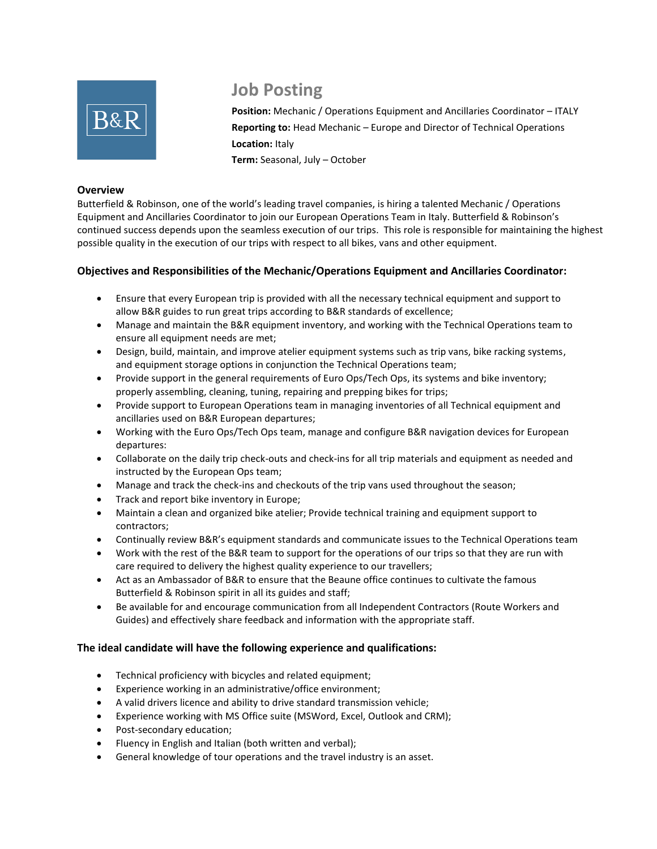

# **Job Posting**

**Position:** Mechanic / Operations Equipment and Ancillaries Coordinator – ITALY **Reporting to:** Head Mechanic – Europe and Director of Technical Operations **Location:** Italy **Term:** Seasonal, July – October

#### **Overview**

Butterfield & Robinson, one of the world's leading travel companies, is hiring a talented Mechanic / Operations Equipment and Ancillaries Coordinator to join our European Operations Team in Italy. Butterfield & Robinson's continued success depends upon the seamless execution of our trips. This role is responsible for maintaining the highest possible quality in the execution of our trips with respect to all bikes, vans and other equipment.

# **Objectives and Responsibilities of the Mechanic/Operations Equipment and Ancillaries Coordinator:**

- Ensure that every European trip is provided with all the necessary technical equipment and support to allow B&R guides to run great trips according to B&R standards of excellence;
- Manage and maintain the B&R equipment inventory, and working with the Technical Operations team to ensure all equipment needs are met;
- Design, build, maintain, and improve atelier equipment systems such as trip vans, bike racking systems, and equipment storage options in conjunction the Technical Operations team;
- Provide support in the general requirements of Euro Ops/Tech Ops, its systems and bike inventory; properly assembling, cleaning, tuning, repairing and prepping bikes for trips;
- Provide support to European Operations team in managing inventories of all Technical equipment and ancillaries used on B&R European departures;
- Working with the Euro Ops/Tech Ops team, manage and configure B&R navigation devices for European departures:
- Collaborate on the daily trip check-outs and check-ins for all trip materials and equipment as needed and instructed by the European Ops team;
- Manage and track the check-ins and checkouts of the trip vans used throughout the season;
- Track and report bike inventory in Europe;
- Maintain a clean and organized bike atelier; Provide technical training and equipment support to contractors;
- Continually review B&R's equipment standards and communicate issues to the Technical Operations team
- Work with the rest of the B&R team to support for the operations of our trips so that they are run with care required to delivery the highest quality experience to our travellers;
- Act as an Ambassador of B&R to ensure that the Beaune office continues to cultivate the famous Butterfield & Robinson spirit in all its guides and staff;
- Be available for and encourage communication from all Independent Contractors (Route Workers and Guides) and effectively share feedback and information with the appropriate staff.

# **The ideal candidate will have the following experience and qualifications:**

- Technical proficiency with bicycles and related equipment;
- Experience working in an administrative/office environment;
- A valid drivers licence and ability to drive standard transmission vehicle;
- Experience working with MS Office suite (MSWord, Excel, Outlook and CRM);
- Post-secondary education;
- Fluency in English and Italian (both written and verbal);
- General knowledge of tour operations and the travel industry is an asset.